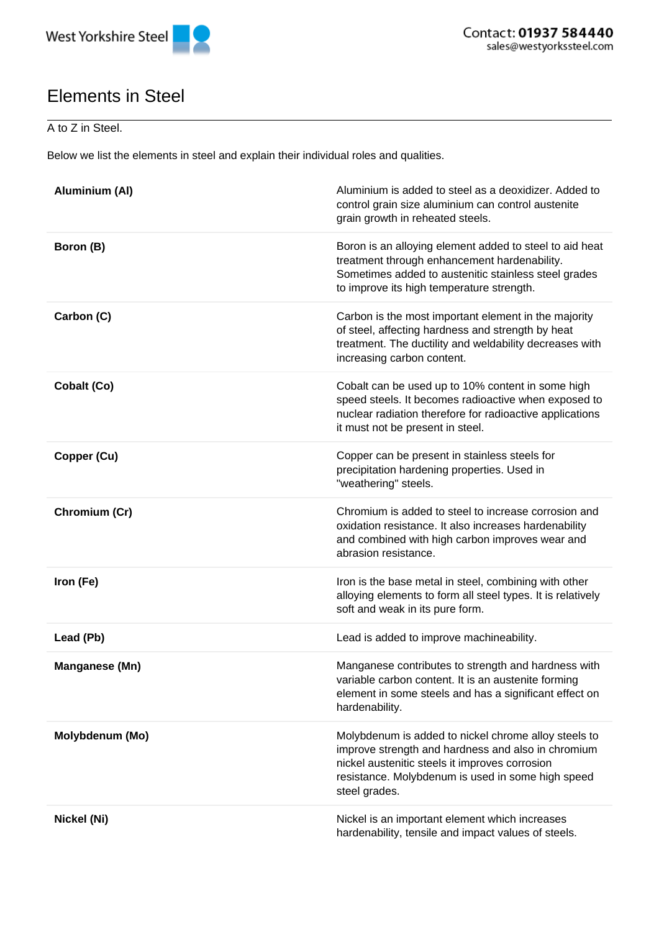

## Elements in Steel

## A to Z in Steel.

Below we list the elements in steel and explain their individual roles and qualities.

| <b>Aluminium (AI)</b> | Aluminium is added to steel as a deoxidizer. Added to<br>control grain size aluminium can control austenite<br>grain growth in reheated steels.                                                                                    |
|-----------------------|------------------------------------------------------------------------------------------------------------------------------------------------------------------------------------------------------------------------------------|
| Boron (B)             | Boron is an alloying element added to steel to aid heat<br>treatment through enhancement hardenability.<br>Sometimes added to austenitic stainless steel grades<br>to improve its high temperature strength.                       |
| Carbon (C)            | Carbon is the most important element in the majority<br>of steel, affecting hardness and strength by heat<br>treatment. The ductility and weldability decreases with<br>increasing carbon content.                                 |
| Cobalt (Co)           | Cobalt can be used up to 10% content in some high<br>speed steels. It becomes radioactive when exposed to<br>nuclear radiation therefore for radioactive applications<br>it must not be present in steel.                          |
| Copper (Cu)           | Copper can be present in stainless steels for<br>precipitation hardening properties. Used in<br>"weathering" steels.                                                                                                               |
| Chromium (Cr)         | Chromium is added to steel to increase corrosion and<br>oxidation resistance. It also increases hardenability<br>and combined with high carbon improves wear and<br>abrasion resistance.                                           |
| Iron (Fe)             | Iron is the base metal in steel, combining with other<br>alloying elements to form all steel types. It is relatively<br>soft and weak in its pure form.                                                                            |
| Lead (Pb)             | Lead is added to improve machineability.                                                                                                                                                                                           |
| Manganese (Mn)        | Manganese contributes to strength and hardness with<br>variable carbon content. It is an austenite forming<br>element in some steels and has a significant effect on<br>hardenability.                                             |
| Molybdenum (Mo)       | Molybdenum is added to nickel chrome alloy steels to<br>improve strength and hardness and also in chromium<br>nickel austenitic steels it improves corrosion<br>resistance. Molybdenum is used in some high speed<br>steel grades. |
| Nickel (Ni)           | Nickel is an important element which increases<br>hardenability, tensile and impact values of steels.                                                                                                                              |